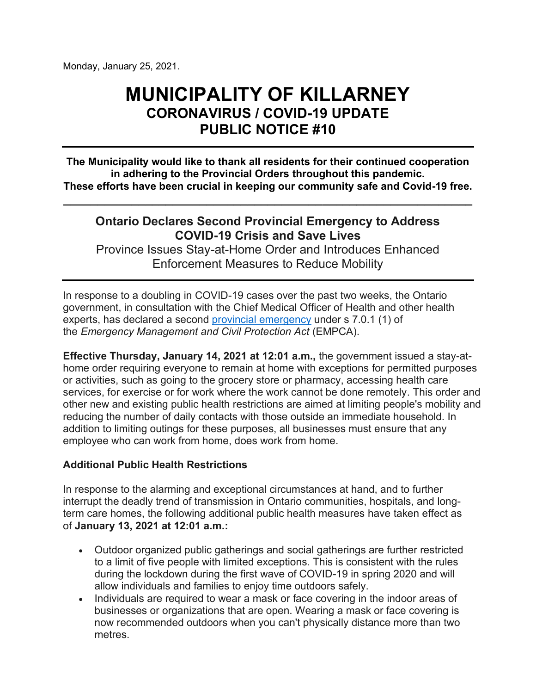Monday, January 25, 2021.

# **MUNICIPALITY OF KILLARNEY CORONAVIRUS / COVID-19 UPDATE PUBLIC NOTICE #10**

**The Municipality would like to thank all residents for their continued cooperation in adhering to the Provincial Orders throughout this pandemic. These efforts have been crucial in keeping our community safe and Covid-19 free.**

# **Ontario Declares Second Provincial Emergency to Address COVID-19 Crisis and Save Lives**

**\_\_\_\_\_\_\_\_\_\_\_\_\_\_\_\_\_\_\_\_\_\_\_\_\_\_\_\_\_\_\_\_\_\_\_\_\_\_\_\_\_\_\_\_\_\_\_\_\_\_\_\_\_\_\_\_\_\_\_\_** 

 Province Issues Stay-at-Home Order and Introduces Enhanced Enforcement Measures to Reduce Mobility

 government, in consultation with the Chief Medical Officer of Health and other health In response to a doubling in COVID-19 cases over the past two weeks, the Ontario experts, has declared a second [provincial emergency](https://www.ontario.ca/page/enhancing-public-health-and-workplace-safety-measures-provincewide-shutdown) under s 7.0.1 (1) of the *Emergency Management and Civil Protection Act* (EMPCA).

**Effective Thursday, January 14, 2021 at 12:01 a.m.,** the government issued a stay-athome order requiring everyone to remain at home with exceptions for permitted purposes or activities, such as going to the grocery store or pharmacy, accessing health care services, for exercise or for work where the work cannot be done remotely. This order and other new and existing public health restrictions are aimed at limiting people's mobility and reducing the number of daily contacts with those outside an immediate household. In addition to limiting outings for these purposes, all businesses must ensure that any employee who can work from home, does work from home.

#### **Additional Public Health Restrictions**

 of **January 13, 2021 at 12:01 a.m.:**  In response to the alarming and exceptional circumstances at hand, and to further interrupt the deadly trend of transmission in Ontario communities, hospitals, and longterm care homes, the following additional public health measures have taken effect as

- Outdoor organized public gatherings and social gatherings are further restricted to a limit of five people with limited exceptions. This is consistent with the rules during the lockdown during the first wave of COVID-19 in spring 2020 and will allow individuals and families to enjoy time outdoors safely.
- • Individuals are required to wear a mask or face covering in the indoor areas of businesses or organizations that are open. Wearing a mask or face covering is now recommended outdoors when you can't physically distance more than two metres.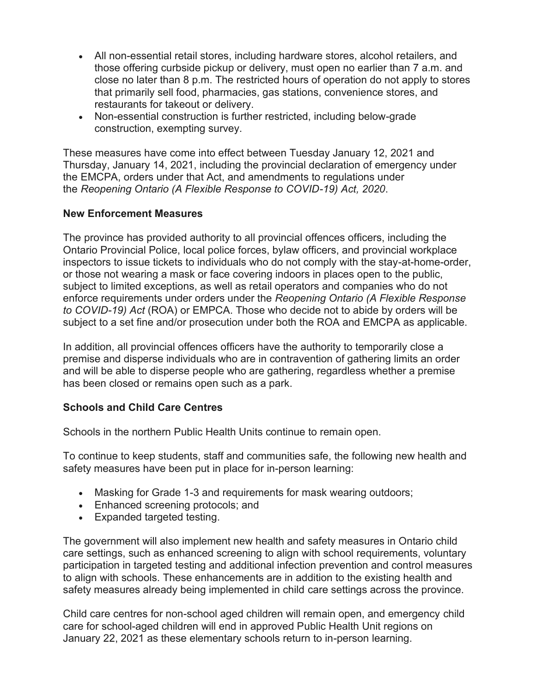- All non-essential retail stores, including hardware stores, alcohol retailers, and those offering curbside pickup or delivery, must open no earlier than 7 a.m. and close no later than 8 p.m. The restricted hours of operation do not apply to stores that primarily sell food, pharmacies, gas stations, convenience stores, and restaurants for takeout or delivery.
- Non-essential construction is further restricted, including below-grade construction, exempting survey.

 Thursday, January 14, 2021, including the provincial declaration of emergency under These measures have come into effect between Tuesday January 12, 2021 and the EMCPA, orders under that Act, and amendments to regulations under the *Reopening Ontario (A Flexible Response to COVID-19) Act, 2020*.

#### **New Enforcement Measures**

 subject to limited exceptions, as well as retail operators and companies who do not *to COVID-19) Act* (ROA) or EMPCA. Those who decide not to abide by orders will be subject to a set fine and/or prosecution under both the ROA and EMCPA as applicable. The province has provided authority to all provincial offences officers, including the Ontario Provincial Police, local police forces, bylaw officers, and provincial workplace inspectors to issue tickets to individuals who do not comply with the stay-at-home-order, or those not wearing a mask or face covering indoors in places open to the public, enforce requirements under orders under the *Reopening Ontario (A Flexible Response* 

 and will be able to disperse people who are gathering, regardless whether a premise has been closed or remains open such as a park. In addition, all provincial offences officers have the authority to temporarily close a premise and disperse individuals who are in contravention of gathering limits an order

#### **Schools and Child Care Centres**

Schools in the northern Public Health Units continue to remain open.

To continue to keep students, staff and communities safe, the following new health and safety measures have been put in place for in-person learning:

- Masking for Grade 1-3 and requirements for mask wearing outdoors;
- Enhanced screening protocols; and
- Expanded targeted testing.

The government will also implement new health and safety measures in Ontario child care settings, such as enhanced screening to align with school requirements, voluntary participation in targeted testing and additional infection prevention and control measures to align with schools. These enhancements are in addition to the existing health and safety measures already being implemented in child care settings across the province.

Child care centres for non-school aged children will remain open, and emergency child care for school-aged children will end in approved Public Health Unit regions on January 22, 2021 as these elementary schools return to in-person learning.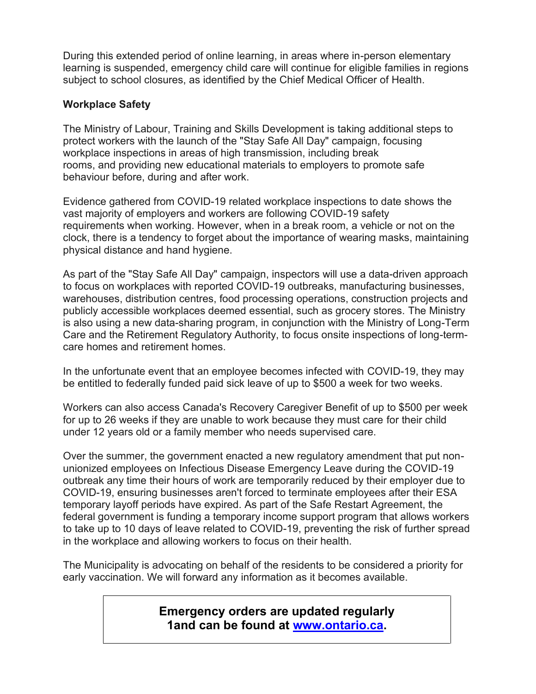During this extended period of online learning, in areas where in-person elementary learning is suspended, emergency child care will continue for eligible families in regions subject to school closures, as identified by the Chief Medical Officer of Health.

## **Workplace Safety**

 The Ministry of Labour, Training and Skills Development is taking additional steps to protect workers with the launch of the "Stay Safe All Day" campaign, focusing workplace inspections in areas of high transmission, including break rooms, and providing new educational materials to employers to promote safe behaviour before, during and after work.

 clock, there is a tendency to forget about the importance of wearing masks, maintaining Evidence gathered from COVID-19 related workplace inspections to date shows the vast majority of employers and workers are following COVID-19 safety requirements when working. However, when in a break room, a vehicle or not on the physical distance and hand hygiene.

 As part of the "Stay Safe All Day" campaign, inspectors will use a data-driven approach to focus on workplaces with reported COVID-19 outbreaks, manufacturing businesses, warehouses, distribution centres, food processing operations, construction projects and publicly accessible workplaces deemed essential, such as grocery stores. The Ministry is also using a new data-sharing program, in conjunction with the Ministry of Long-Term Care and the Retirement Regulatory Authority, to focus onsite inspections of long-termcare homes and retirement homes.

In the unfortunate event that an employee becomes infected with COVID-19, they may be entitled to federally funded paid sick leave of up to \$500 a week for two weeks.

 Workers can also access Canada's Recovery Caregiver Benefit of up to \$500 per week for up to 26 weeks if they are unable to work because they must care for their child under 12 years old or a family member who needs supervised care.

 Over the summer, the government enacted a new regulatory amendment that put nonunionized employees on Infectious Disease Emergency Leave during the COVID-19 outbreak any time their hours of work are temporarily reduced by their employer due to COVID-19, ensuring businesses aren't forced to terminate employees after their ESA temporary layoff periods have expired. As part of the Safe Restart Agreement, the federal government is funding a temporary income support program that allows workers to take up to 10 days of leave related to COVID-19, preventing the risk of further spread in the workplace and allowing workers to focus on their health.

The Municipality is advocating on behalf of the residents to be considered a priority for early vaccination. We will forward any information as it becomes available.

> **1and can be found at www.ontario.ca. Emergency orders are updated regularly**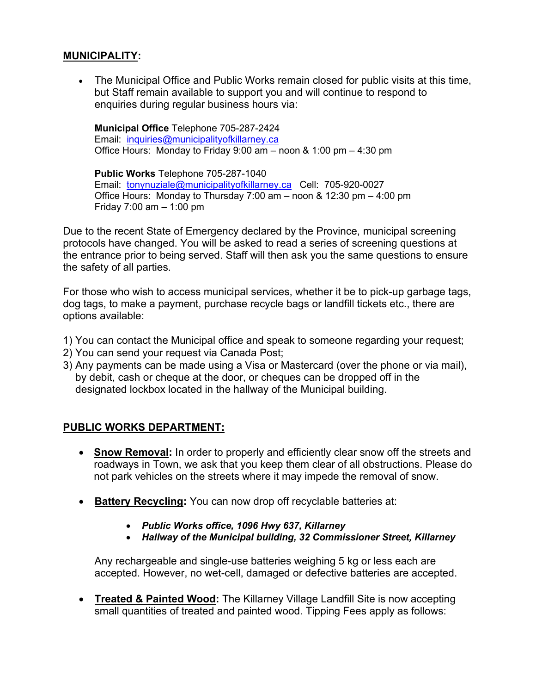#### **MUNICIPALITY:**

• The Municipal Office and Public Works remain closed for public visits at this time, but Staff remain available to support you and will continue to respond to enquiries during regular business hours via:

 **Municipal Office** Telephone 705-287-2424 Email: <u>inquiries@municipalityofkillarney.ca</u> Office Hours: Monday to Friday 9:00 am – noon & 1:00 pm – 4:30 pm

Public Works Telephone 705-287-1040 **Public Works** Telephone 705-287-1040<br>Email: <u>tonynuziale@municipalityofkillarney.ca</u> Cell: 705-920-0027 Office Hours: Monday to Thursday 7:00 am – noon & 12:30 pm – 4:00 pm Friday 7:00 am – 1:00 pm

 the entrance prior to being served. Staff will then ask you the same questions to ensure Due to the recent State of Emergency declared by the Province, municipal screening protocols have changed. You will be asked to read a series of screening questions at the safety of all parties.

 For those who wish to access municipal services, whether it be to pick-up garbage tags, dog tags, to make a payment, purchase recycle bags or landfill tickets etc., there are options available:

- 1) You can contact the Municipal office and speak to someone regarding your request;
- 2) You can send your request via Canada Post;
- 3) Any payments can be made using a Visa or Mastercard (over the phone or via mail), by debit, cash or cheque at the door, or cheques can be dropped off in the designated lockbox located in the hallway of the Municipal building.

#### **PUBLIC WORKS DEPARTMENT:**

- **Snow Removal:** In order to properly and efficiently clear snow off the streets and roadways in Town, we ask that you keep them clear of all obstructions. Please do not park vehicles on the streets where it may impede the removal of snow.
- **Battery Recycling:** You can now drop off recyclable batteries at:
	- •  *Public Works office, 1096 Hwy 637, Killarney*
	- •  *Hallway of the Municipal building, 32 Commissioner Street, Killarney*

 Any rechargeable and single-use batteries weighing 5 kg or less each are accepted. However, no wet-cell, damaged or defective batteries are accepted.

**• Treated & Painted Wood:** The Killarney Village Landfill Site is now accepting small quantities of treated and painted wood. Tipping Fees apply as follows: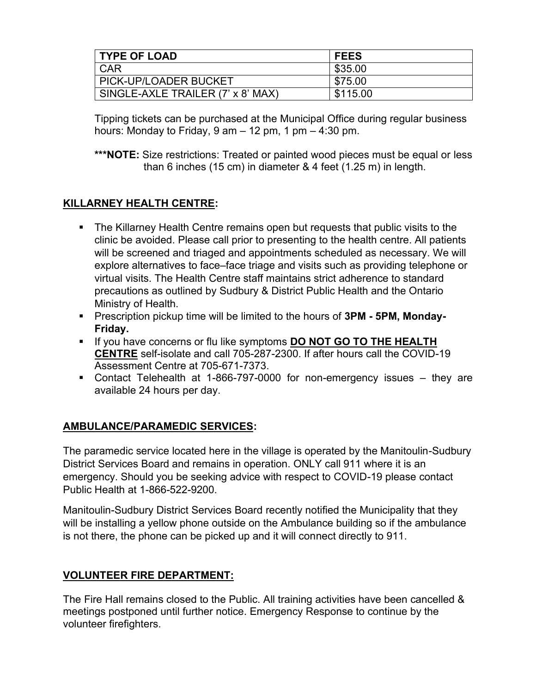| <b>TYPE OF LOAD</b>               | <b>FEES</b> |
|-----------------------------------|-------------|
| <b>CAR</b>                        | \$35.00     |
| PICK-UP/LOADER BUCKET             | \$75.00     |
| SINGLE-AXLE TRAILER (7' x 8' MAX) | \$115.00    |

 Tipping tickets can be purchased at the Municipal Office during regular business hours: Monday to Friday, 9 am – 12 pm, 1 pm – 4:30 pm.

**\*\*\*NOTE:** Size restrictions: Treated or painted wood pieces must be equal or less than 6 inches (15 cm) in diameter & 4 feet (1.25 m) in length.

## **KILLARNEY HEALTH CENTRE:**

- **The Killarney Health Centre remains open but requests that public visits to the**  precautions as outlined by Sudbury & District Public Health and the Ontario clinic be avoided. Please call prior to presenting to the health centre. All patients will be screened and triaged and appointments scheduled as necessary. We will explore alternatives to face–face triage and visits such as providing telephone or virtual visits. The Health Centre staff maintains strict adherence to standard Ministry of Health.
- **E** Prescription pickup time will be limited to the hours of **3PM 5PM, Monday-Friday.**
- **E** If you have concerns or flu like symptoms **DO NOT GO TO THE HEALTH CENTRE** self-isolate and call 705-287-2300. If after hours call the COVID-19 Assessment Centre at 705-671-7373.
- Assessment Centre at 705-671-7373.<br>Contact Telehealth at 1-866-797-0000 for non-emergency issues they are available 24 hours per day.

## **AMBULANCE/PARAMEDIC SERVICES:**

The paramedic service located here in the village is operated by the Manitoulin-Sudbury District Services Board and remains in operation. ONLY call 911 where it is an emergency. Should you be seeking advice with respect to COVID-19 please contact Public Health at 1-866-522-9200.

 will be installing a yellow phone outside on the Ambulance building so if the ambulance Manitoulin-Sudbury District Services Board recently notified the Municipality that they is not there, the phone can be picked up and it will connect directly to 911.

## **VOLUNTEER FIRE DEPARTMENT:**

The Fire Hall remains closed to the Public. All training activities have been cancelled & meetings postponed until further notice. Emergency Response to continue by the volunteer firefighters.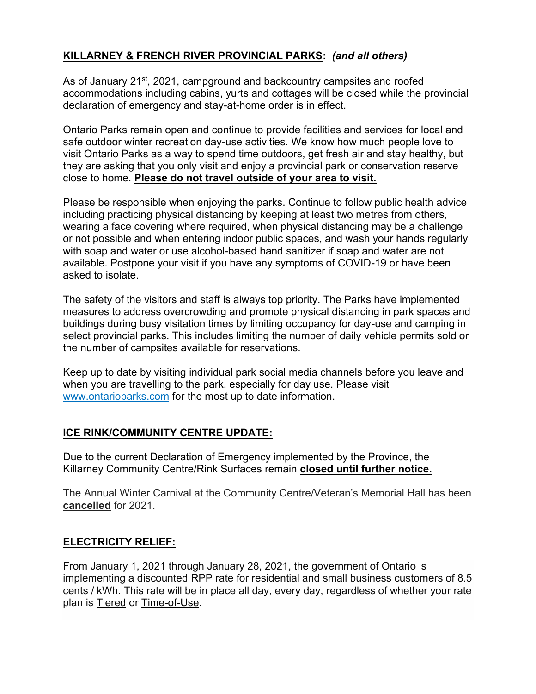# **KILLARNEY & FRENCH RIVER PROVINCIAL PARKS:** *(and all others)*

As of January 21<sup>st</sup>, 2021, campground and backcountry campsites and roofed accommodations including cabins, yurts and cottages will be closed while the provincial declaration of emergency and stay-at-home order is in effect.

Ontario Parks remain open and continue to provide facilities and services for local and safe outdoor winter recreation day-use activities. We know how much people love to visit Ontario Parks as a way to spend time outdoors, get fresh air and stay healthy, but they are asking that you only visit and enjoy a provincial park or conservation reserve close to home. **Please do not travel outside of your area to visit.** 

 Please be responsible when enjoying the parks. Continue to follow public health advice wearing a face covering where required, when physical distancing may be a challenge with soap and water or use alcohol-based hand sanitizer if soap and water are not available. Postpone your visit if you have any symptoms of COVID-19 or have been including practicing physical distancing by keeping at least two metres from others, or not possible and when entering indoor public spaces, and wash your hands regularly asked to isolate.

 measures to address overcrowding and promote physical distancing in park spaces and The safety of the visitors and staff is always top priority. The Parks have implemented buildings during busy visitation times by limiting occupancy for day-use and camping in select provincial parks. This includes limiting the number of daily vehicle permits sold or the number of campsites available for reservations.

 [www.ontarioparks.com](https://can01.safelinks.protection.outlook.com/?url=http%3A%2F%2Fwww.ontarioparks.com%2F&data=04%7C01%7Cjeremy.pawson%40ontario.ca%7Cc74a81f5b3d64de29e8e08d8bd7dab5a%7Ccddc1229ac2a4b97b78a0e5cacb5865c%7C0%7C0%7C637467694728777200%7CUnknown%7CTWFpbGZsb3d8eyJWIjoiMC4wLjAwMDAiLCJQIjoiV2luMzIiLCJBTiI6Ik1haWwiLCJXVCI6Mn0%3D%7C1000&sdata=1fquxsjNCQDQcUE3nuNqYUtMhVCLwBeGStFLw2dcclI%3D&reserved=0) for the most up to date information. Keep up to date by visiting individual park social media channels before you leave and when you are travelling to the park, especially for day use. Please visit

## **ICE RINK/COMMUNITY CENTRE UPDATE:**

Due to the current Declaration of Emergency implemented by the Province, the Killarney Community Centre/Rink Surfaces remain **closed until further notice.** 

The Annual Winter Carnival at the Community Centre/Veteran's Memorial Hall has been **cancelled** for 2021.

## **ELECTRICITY RELIEF:**

From January 1, 2021 through January 28, 2021, the government of Ontario is implementing a discounted RPP rate for residential and small business customers of 8.5 cents / kWh. This rate will be in place all day, every day, regardless of whether your rate plan is [Tiered](https://alectrautilities.com/tiered-pricing) or [Time-of-Use.](https://alectrautilities.com/time-use-pricing)